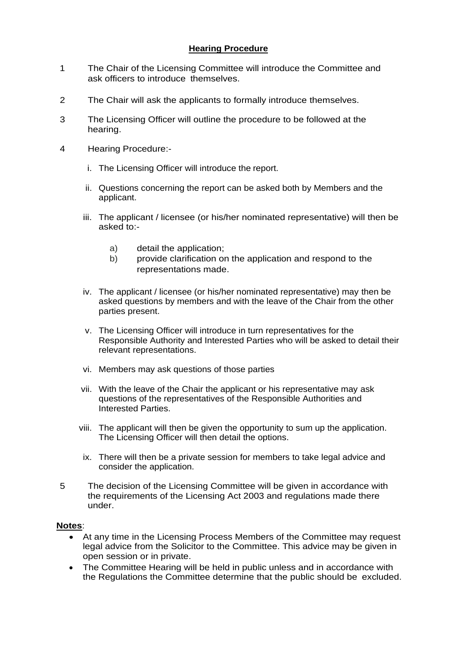#### **Hearing Procedure**

- 1 The Chair of the Licensing Committee will introduce the Committee and ask officers to introduce themselves.
- 2 The Chair will ask the applicants to formally introduce themselves.
- 3 The Licensing Officer will outline the procedure to be followed at the hearing.
- 4 Hearing Procedure:
	- i. The Licensing Officer will introduce the report.
	- ii. Questions concerning the report can be asked both by Members and the applicant.
	- iii. The applicant / licensee (or his/her nominated representative) will then be asked to:
		- a) detail the application;
		- b) provide clarification on the application and respond to the representations made.
	- iv. The applicant / licensee (or his/her nominated representative) may then be asked questions by members and with the leave of the Chair from the other parties present.
	- v. The Licensing Officer will introduce in turn representatives for the Responsible Authority and Interested Parties who will be asked to detail their relevant representations.
	- vi. Members may ask questions of those parties
	- vii. With the leave of the Chair the applicant or his representative may ask questions of the representatives of the Responsible Authorities and Interested Parties.
	- viii. The applicant will then be given the opportunity to sum up the application. The Licensing Officer will then detail the options.
	- ix. There will then be a private session for members to take legal advice and consider the application.
- 5 The decision of the Licensing Committee will be given in accordance with the requirements of the Licensing Act 2003 and regulations made there under.

#### **Notes**:

- At any time in the Licensing Process Members of the Committee may request legal advice from the Solicitor to the Committee. This advice may be given in open session or in private.
- The Committee Hearing will be held in public unless and in accordance with the Regulations the Committee determine that the public should be excluded.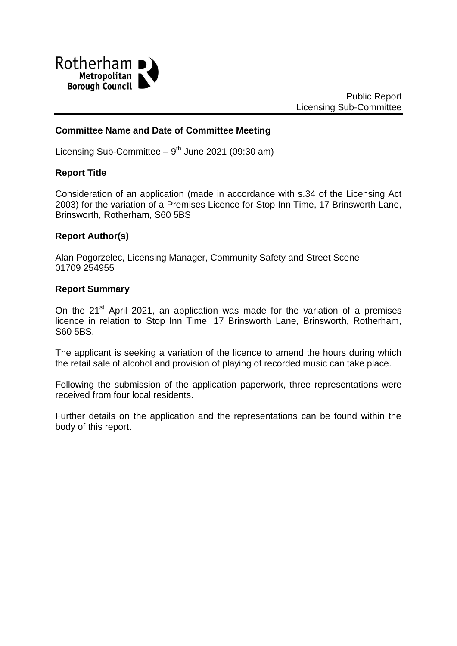

### **Committee Name and Date of Committee Meeting**

Licensing Sub-Committee  $-9<sup>th</sup>$  June 2021 (09:30 am)

#### **Report Title**

Consideration of an application (made in accordance with s.34 of the Licensing Act 2003) for the variation of a Premises Licence for Stop Inn Time, 17 Brinsworth Lane, Brinsworth, Rotherham, S60 5BS

### **Report Author(s)**

Alan Pogorzelec, Licensing Manager, Community Safety and Street Scene 01709 254955

#### **Report Summary**

On the  $21<sup>st</sup>$  April 2021, an application was made for the variation of a premises licence in relation to Stop Inn Time, 17 Brinsworth Lane, Brinsworth, Rotherham, S60 5BS.

The applicant is seeking a variation of the licence to amend the hours during which the retail sale of alcohol and provision of playing of recorded music can take place.

Following the submission of the application paperwork, three representations were received from four local residents.

Further details on the application and the representations can be found within the body of this report.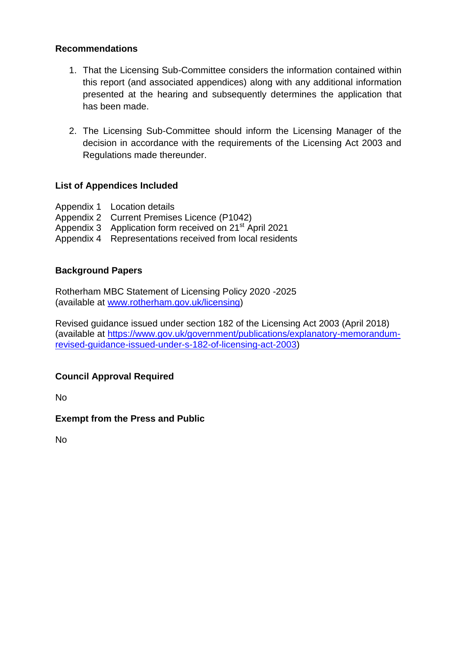### **Recommendations**

- 1. That the Licensing Sub-Committee considers the information contained within this report (and associated appendices) along with any additional information presented at the hearing and subsequently determines the application that has been made.
- 2. The Licensing Sub-Committee should inform the Licensing Manager of the decision in accordance with the requirements of the Licensing Act 2003 and Regulations made thereunder.

## **List of Appendices Included**

- Appendix 1 Location details
- Appendix 2 Current Premises Licence (P1042)
- Appendix 3 Application form received on 21<sup>st</sup> April 2021
- Appendix 4 Representations received from local residents

### **Background Papers**

Rotherham MBC Statement of Licensing Policy 2020 -2025 (available at [www.rotherham.gov.uk/licensing\)](http://www.rotherham.gov.uk/licensing)

Revised guidance issued under section 182 of the Licensing Act 2003 (April 2018) (available at [https://www.gov.uk/government/publications/explanatory-memorandum](https://www.gov.uk/government/publications/explanatory-memorandum-revised-guidance-issued-under-s-182-of-licensing-act-2003)[revised-guidance-issued-under-s-182-of-licensing-act-2003\)](https://www.gov.uk/government/publications/explanatory-memorandum-revised-guidance-issued-under-s-182-of-licensing-act-2003)

## **Council Approval Required**

No

**Exempt from the Press and Public**

No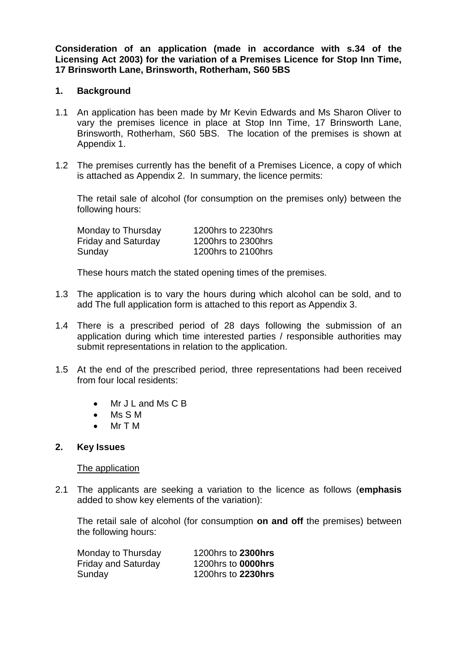**Consideration of an application (made in accordance with s.34 of the Licensing Act 2003) for the variation of a Premises Licence for Stop Inn Time, 17 Brinsworth Lane, Brinsworth, Rotherham, S60 5BS**

#### **1. Background**

- 1.1 An application has been made by Mr Kevin Edwards and Ms Sharon Oliver to vary the premises licence in place at Stop Inn Time, 17 Brinsworth Lane, Brinsworth, Rotherham, S60 5BS. The location of the premises is shown at Appendix 1.
- 1.2 The premises currently has the benefit of a Premises Licence, a copy of which is attached as Appendix 2. In summary, the licence permits:

The retail sale of alcohol (for consumption on the premises only) between the following hours:

| Monday to Thursday         | 1200hrs to 2230hrs |
|----------------------------|--------------------|
| <b>Friday and Saturday</b> | 1200hrs to 2300hrs |
| Sunday                     | 1200hrs to 2100hrs |

These hours match the stated opening times of the premises.

- 1.3 The application is to vary the hours during which alcohol can be sold, and to add The full application form is attached to this report as Appendix 3.
- 1.4 There is a prescribed period of 28 days following the submission of an application during which time interested parties / responsible authorities may submit representations in relation to the application.
- 1.5 At the end of the prescribed period, three representations had been received from four local residents:
	- Mr J L and Ms C B
	- Ms S M
	- Mr T M

### **2. Key Issues**

#### The application

2.1 The applicants are seeking a variation to the licence as follows (**emphasis**  added to show key elements of the variation):

The retail sale of alcohol (for consumption **on and off** the premises) between the following hours:

| Monday to Thursday         | 1200hrs to 2300hrs        |
|----------------------------|---------------------------|
| <b>Friday and Saturday</b> | 1200hrs to <b>0000hrs</b> |
| Sunday                     | 1200hrs to 2230hrs        |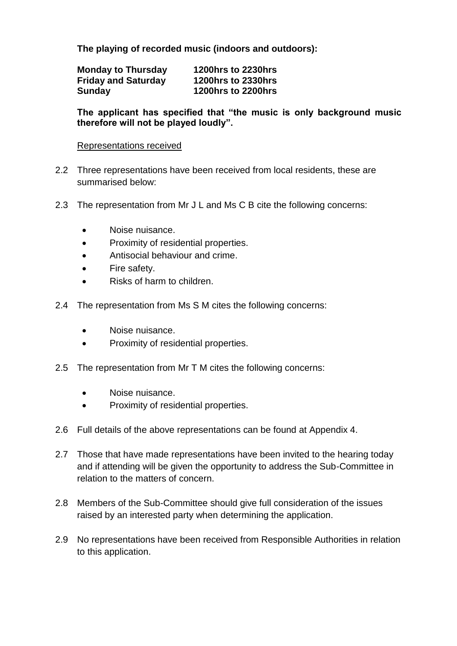**The playing of recorded music (indoors and outdoors):**

| <b>Monday to Thursday</b>  | <b>1200hrs to 2230hrs</b> |
|----------------------------|---------------------------|
| <b>Friday and Saturday</b> | <b>1200hrs to 2330hrs</b> |
| <b>Sunday</b>              | <b>1200hrs to 2200hrs</b> |

**The applicant has specified that "the music is only background music therefore will not be played loudly".** 

#### Representations received

- 2.2 Three representations have been received from local residents, these are summarised below:
- 2.3 The representation from Mr J L and Ms C B cite the following concerns:
	- Noise nuisance.
	- Proximity of residential properties.
	- Antisocial behaviour and crime.
	- Fire safety.
	- Risks of harm to children.
- 2.4 The representation from Ms S M cites the following concerns:
	- Noise nuisance.
	- Proximity of residential properties.
- 2.5 The representation from Mr T M cites the following concerns:
	- Noise nuisance.
	- Proximity of residential properties.
- 2.6 Full details of the above representations can be found at Appendix 4.
- 2.7 Those that have made representations have been invited to the hearing today and if attending will be given the opportunity to address the Sub-Committee in relation to the matters of concern.
- 2.8 Members of the Sub-Committee should give full consideration of the issues raised by an interested party when determining the application.
- 2.9 No representations have been received from Responsible Authorities in relation to this application.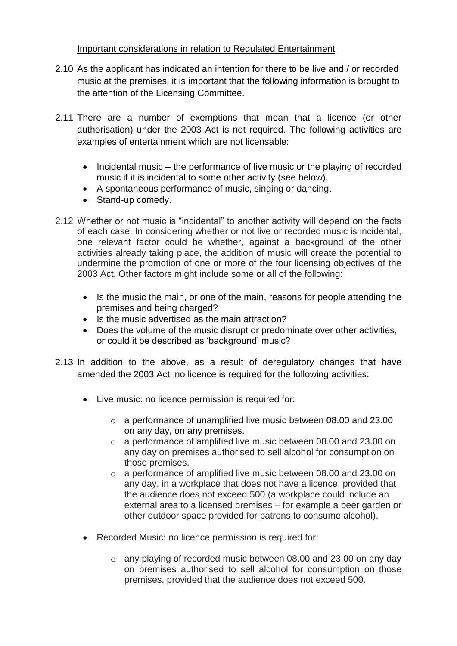## Important considerations in relation to Regulated Entertainment

- 2.10 As the applicant has indicated an intention for there to be live and / or recorded music at the premises, it is important that the following information is brought to the attention of the Licensing Committee.
- 2.11 There are a number of exemptions that mean that a licence (or other authorisation) under the 2003 Act is not required. The following activities are examples of entertainment which are not licensable:
	- Incidental music the performance of live music or the playing of recorded music if it is incidental to some other activity (see below).
	- A spontaneous performance of music, singing or dancing.
	- Stand-up comedy.
- 2.12 Whether or not music is "incidental" to another activity will depend on the facts of each case. In considering whether or not live or recorded music is incidental, one relevant factor could be whether, against a background of the other activities already taking place, the addition of music will create the potential to undermine the promotion of one or more of the four licensing objectives of the 2003 Act. Other factors might include some or all of the following:
	- Is the music the main, or one of the main, reasons for people attending the premises and being charged?
	- Is the music advertised as the main attraction?
	- Does the volume of the music disrupt or predominate over other activities, or could it be described as 'background' music?
- 2.13 In addition to the above, as a result of deregulatory changes that have amended the 2003 Act, no licence is required for the following activities:
	- Live music: no licence permission is required for:
		- o a performance of unamplified live music between 08.00 and 23.00 on any day, on any premises.
		- o a performance of amplified live music between 08.00 and 23.00 on any day on premises authorised to sell alcohol for consumption on those premises.
		- o a performance of amplified live music between 08.00 and 23.00 on any day, in a workplace that does not have a licence, provided that the audience does not exceed 500 (a workplace could include an external area to a licensed premises – for example a beer garden or other outdoor space provided for patrons to consume alcohol).
	- Recorded Music: no licence permission is required for:
		- o any playing of recorded music between 08.00 and 23.00 on any day on premises authorised to sell alcohol for consumption on those premises, provided that the audience does not exceed 500.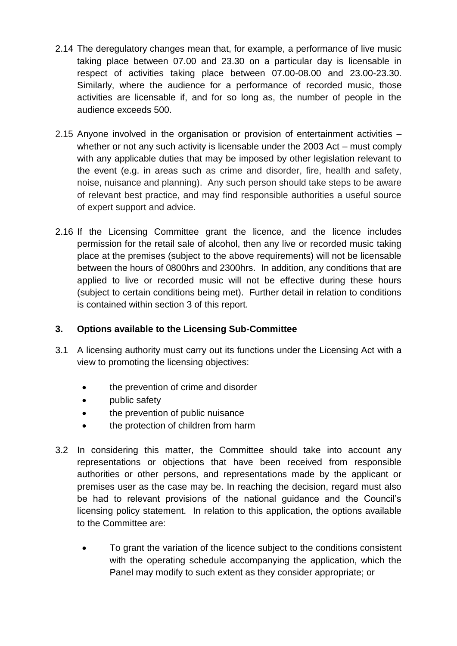- 2.14 The deregulatory changes mean that, for example, a performance of live music taking place between 07.00 and 23.30 on a particular day is licensable in respect of activities taking place between 07.00-08.00 and 23.00-23.30. Similarly, where the audience for a performance of recorded music, those activities are licensable if, and for so long as, the number of people in the audience exceeds 500.
- 2.15 Anyone involved in the organisation or provision of entertainment activities whether or not any such activity is licensable under the 2003 Act – must comply with any applicable duties that may be imposed by other legislation relevant to the event (e.g. in areas such as crime and disorder, fire, health and safety, noise, nuisance and planning). Any such person should take steps to be aware of relevant best practice, and may find responsible authorities a useful source of expert support and advice.
- 2.16 If the Licensing Committee grant the licence, and the licence includes permission for the retail sale of alcohol, then any live or recorded music taking place at the premises (subject to the above requirements) will not be licensable between the hours of 0800hrs and 2300hrs. In addition, any conditions that are applied to live or recorded music will not be effective during these hours (subject to certain conditions being met). Further detail in relation to conditions is contained within section 3 of this report.

## **3. Options available to the Licensing Sub-Committee**

- 3.1 A licensing authority must carry out its functions under the Licensing Act with a view to promoting the licensing objectives:
	- the prevention of crime and disorder
	- public safety
	- the prevention of public nuisance
	- the protection of children from harm
- 3.2 In considering this matter, the Committee should take into account any representations or objections that have been received from responsible authorities or other persons, and representations made by the applicant or premises user as the case may be. In reaching the decision, regard must also be had to relevant provisions of the national guidance and the Council's licensing policy statement. In relation to this application, the options available to the Committee are:
	- To grant the variation of the licence subject to the conditions consistent with the operating schedule accompanying the application, which the Panel may modify to such extent as they consider appropriate; or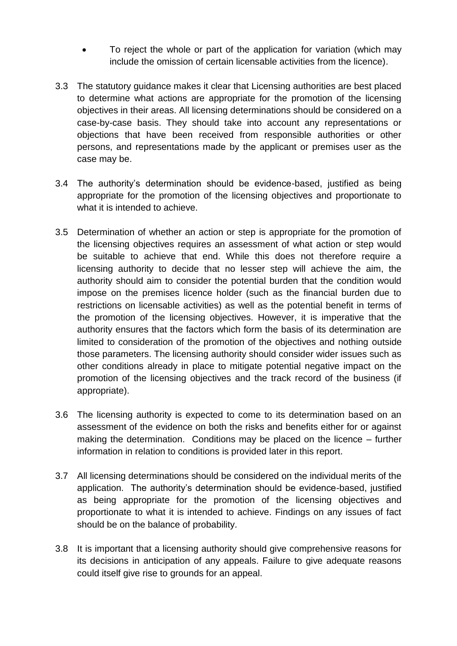- To reject the whole or part of the application for variation (which may include the omission of certain licensable activities from the licence).
- 3.3 The statutory guidance makes it clear that Licensing authorities are best placed to determine what actions are appropriate for the promotion of the licensing objectives in their areas. All licensing determinations should be considered on a case-by-case basis. They should take into account any representations or objections that have been received from responsible authorities or other persons, and representations made by the applicant or premises user as the case may be.
- 3.4 The authority's determination should be evidence-based, justified as being appropriate for the promotion of the licensing objectives and proportionate to what it is intended to achieve.
- 3.5 Determination of whether an action or step is appropriate for the promotion of the licensing objectives requires an assessment of what action or step would be suitable to achieve that end. While this does not therefore require a licensing authority to decide that no lesser step will achieve the aim, the authority should aim to consider the potential burden that the condition would impose on the premises licence holder (such as the financial burden due to restrictions on licensable activities) as well as the potential benefit in terms of the promotion of the licensing objectives. However, it is imperative that the authority ensures that the factors which form the basis of its determination are limited to consideration of the promotion of the objectives and nothing outside those parameters. The licensing authority should consider wider issues such as other conditions already in place to mitigate potential negative impact on the promotion of the licensing objectives and the track record of the business (if appropriate).
- 3.6 The licensing authority is expected to come to its determination based on an assessment of the evidence on both the risks and benefits either for or against making the determination. Conditions may be placed on the licence – further information in relation to conditions is provided later in this report.
- 3.7 All licensing determinations should be considered on the individual merits of the application. The authority's determination should be evidence-based, justified as being appropriate for the promotion of the licensing objectives and proportionate to what it is intended to achieve. Findings on any issues of fact should be on the balance of probability.
- 3.8 It is important that a licensing authority should give comprehensive reasons for its decisions in anticipation of any appeals. Failure to give adequate reasons could itself give rise to grounds for an appeal.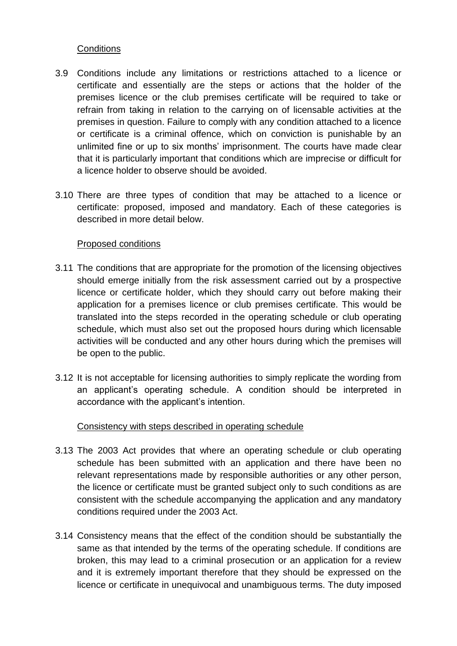### **Conditions**

- 3.9 Conditions include any limitations or restrictions attached to a licence or certificate and essentially are the steps or actions that the holder of the premises licence or the club premises certificate will be required to take or refrain from taking in relation to the carrying on of licensable activities at the premises in question. Failure to comply with any condition attached to a licence or certificate is a criminal offence, which on conviction is punishable by an unlimited fine or up to six months' imprisonment. The courts have made clear that it is particularly important that conditions which are imprecise or difficult for a licence holder to observe should be avoided.
- 3.10 There are three types of condition that may be attached to a licence or certificate: proposed, imposed and mandatory. Each of these categories is described in more detail below.

### Proposed conditions

- 3.11 The conditions that are appropriate for the promotion of the licensing objectives should emerge initially from the risk assessment carried out by a prospective licence or certificate holder, which they should carry out before making their application for a premises licence or club premises certificate. This would be translated into the steps recorded in the operating schedule or club operating schedule, which must also set out the proposed hours during which licensable activities will be conducted and any other hours during which the premises will be open to the public.
- 3.12 It is not acceptable for licensing authorities to simply replicate the wording from an applicant's operating schedule. A condition should be interpreted in accordance with the applicant's intention.

## Consistency with steps described in operating schedule

- 3.13 The 2003 Act provides that where an operating schedule or club operating schedule has been submitted with an application and there have been no relevant representations made by responsible authorities or any other person, the licence or certificate must be granted subject only to such conditions as are consistent with the schedule accompanying the application and any mandatory conditions required under the 2003 Act.
- 3.14 Consistency means that the effect of the condition should be substantially the same as that intended by the terms of the operating schedule. If conditions are broken, this may lead to a criminal prosecution or an application for a review and it is extremely important therefore that they should be expressed on the licence or certificate in unequivocal and unambiguous terms. The duty imposed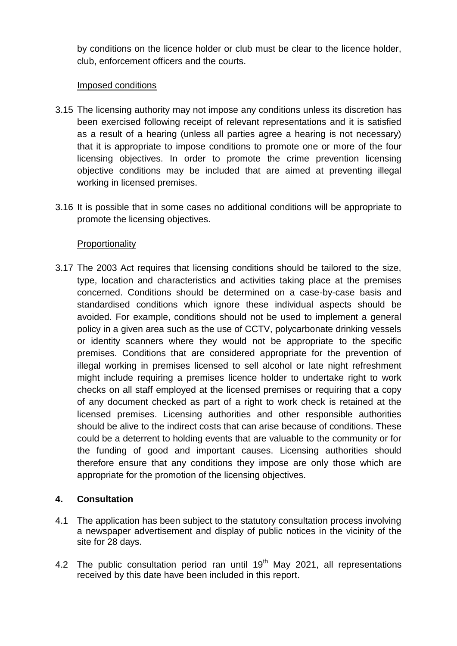by conditions on the licence holder or club must be clear to the licence holder, club, enforcement officers and the courts.

### Imposed conditions

- 3.15 The licensing authority may not impose any conditions unless its discretion has been exercised following receipt of relevant representations and it is satisfied as a result of a hearing (unless all parties agree a hearing is not necessary) that it is appropriate to impose conditions to promote one or more of the four licensing objectives. In order to promote the crime prevention licensing objective conditions may be included that are aimed at preventing illegal working in licensed premises.
- 3.16 It is possible that in some cases no additional conditions will be appropriate to promote the licensing objectives.

## **Proportionality**

3.17 The 2003 Act requires that licensing conditions should be tailored to the size, type, location and characteristics and activities taking place at the premises concerned. Conditions should be determined on a case-by-case basis and standardised conditions which ignore these individual aspects should be avoided. For example, conditions should not be used to implement a general policy in a given area such as the use of CCTV, polycarbonate drinking vessels or identity scanners where they would not be appropriate to the specific premises. Conditions that are considered appropriate for the prevention of illegal working in premises licensed to sell alcohol or late night refreshment might include requiring a premises licence holder to undertake right to work checks on all staff employed at the licensed premises or requiring that a copy of any document checked as part of a right to work check is retained at the licensed premises. Licensing authorities and other responsible authorities should be alive to the indirect costs that can arise because of conditions. These could be a deterrent to holding events that are valuable to the community or for the funding of good and important causes. Licensing authorities should therefore ensure that any conditions they impose are only those which are appropriate for the promotion of the licensing objectives.

## **4. Consultation**

- 4.1 The application has been subject to the statutory consultation process involving a newspaper advertisement and display of public notices in the vicinity of the site for 28 days.
- 4.2 The public consultation period ran until  $19<sup>th</sup>$  May 2021, all representations received by this date have been included in this report.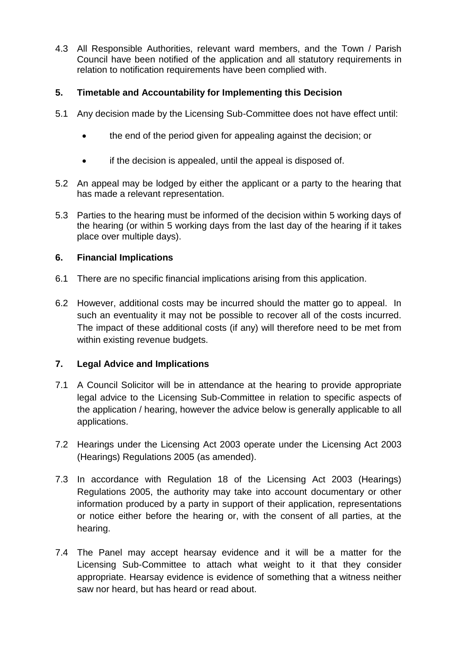4.3 All Responsible Authorities, relevant ward members, and the Town / Parish Council have been notified of the application and all statutory requirements in relation to notification requirements have been complied with.

## **5. Timetable and Accountability for Implementing this Decision**

- 5.1 Any decision made by the Licensing Sub-Committee does not have effect until:
	- the end of the period given for appealing against the decision; or
	- if the decision is appealed, until the appeal is disposed of.
- 5.2 An appeal may be lodged by either the applicant or a party to the hearing that has made a relevant representation.
- 5.3 Parties to the hearing must be informed of the decision within 5 working days of the hearing (or within 5 working days from the last day of the hearing if it takes place over multiple days).

## **6. Financial Implications**

- 6.1 There are no specific financial implications arising from this application.
- 6.2 However, additional costs may be incurred should the matter go to appeal. In such an eventuality it may not be possible to recover all of the costs incurred. The impact of these additional costs (if any) will therefore need to be met from within existing revenue budgets.

# **7. Legal Advice and Implications**

- 7.1 A Council Solicitor will be in attendance at the hearing to provide appropriate legal advice to the Licensing Sub-Committee in relation to specific aspects of the application / hearing, however the advice below is generally applicable to all applications.
- 7.2 Hearings under the Licensing Act 2003 operate under the Licensing Act 2003 (Hearings) Regulations 2005 (as amended).
- 7.3 In accordance with Regulation 18 of the Licensing Act 2003 (Hearings) Regulations 2005, the authority may take into account documentary or other information produced by a party in support of their application, representations or notice either before the hearing or, with the consent of all parties, at the hearing.
- 7.4 The Panel may accept hearsay evidence and it will be a matter for the Licensing Sub-Committee to attach what weight to it that they consider appropriate. Hearsay evidence is evidence of something that a witness neither saw nor heard, but has heard or read about.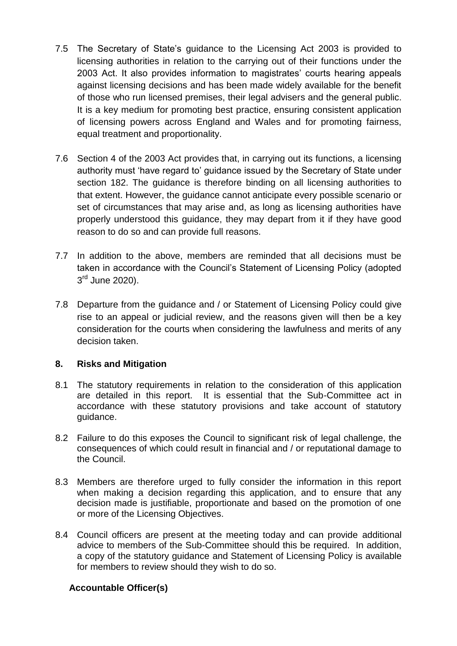- 7.5 The Secretary of State's guidance to the Licensing Act 2003 is provided to licensing authorities in relation to the carrying out of their functions under the 2003 Act. It also provides information to magistrates' courts hearing appeals against licensing decisions and has been made widely available for the benefit of those who run licensed premises, their legal advisers and the general public. It is a key medium for promoting best practice, ensuring consistent application of licensing powers across England and Wales and for promoting fairness, equal treatment and proportionality.
- 7.6 Section 4 of the 2003 Act provides that, in carrying out its functions, a licensing authority must 'have regard to' guidance issued by the Secretary of State under section 182. The guidance is therefore binding on all licensing authorities to that extent. However, the guidance cannot anticipate every possible scenario or set of circumstances that may arise and, as long as licensing authorities have properly understood this guidance, they may depart from it if they have good reason to do so and can provide full reasons.
- 7.7 In addition to the above, members are reminded that all decisions must be taken in accordance with the Council's Statement of Licensing Policy (adopted 3<sup>rd</sup> June 2020).
- 7.8 Departure from the guidance and / or Statement of Licensing Policy could give rise to an appeal or judicial review, and the reasons given will then be a key consideration for the courts when considering the lawfulness and merits of any decision taken.

### **8. Risks and Mitigation**

- 8.1 The statutory requirements in relation to the consideration of this application are detailed in this report. It is essential that the Sub-Committee act in accordance with these statutory provisions and take account of statutory guidance.
- 8.2 Failure to do this exposes the Council to significant risk of legal challenge, the consequences of which could result in financial and / or reputational damage to the Council.
- 8.3 Members are therefore urged to fully consider the information in this report when making a decision regarding this application, and to ensure that any decision made is justifiable, proportionate and based on the promotion of one or more of the Licensing Objectives.
- 8.4 Council officers are present at the meeting today and can provide additional advice to members of the Sub-Committee should this be required. In addition, a copy of the statutory guidance and Statement of Licensing Policy is available for members to review should they wish to do so.

### **Accountable Officer(s)**